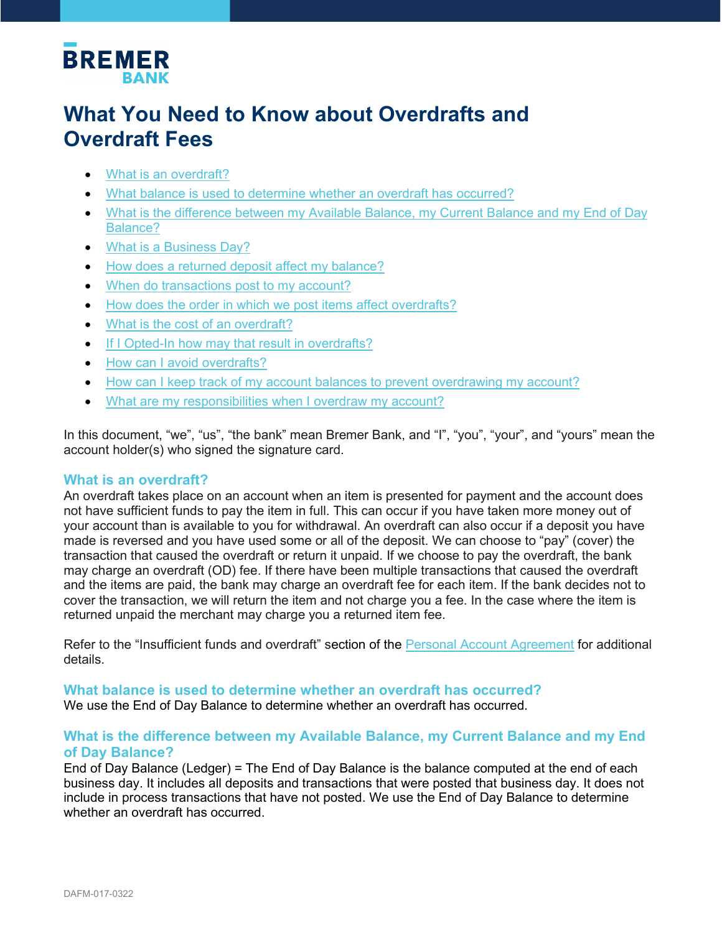

# **What You Need to Know about Overdrafts and Overdraft Fees**

- [What is an overdraft?](#page-0-0)
- [What balance is used to determine whether an overdraft has occurred?](#page-0-1)
- [What is the difference between my Available Balance, my Current Balance and my End of Day](#page-0-2)  [Balance?](#page-0-2)
- [What is a Business Day?](#page-1-0)
- [How does a returned deposit affect my balance?](#page-1-1)
- When do transactions post to my account?
- How does the order in which we post items affect overdrafts?
- [What is the cost of an overdraft?](#page-2-0)
- [If I Opted-In how may that result in overdrafts?](#page-2-1)
- [How can I avoid overdrafts?](#page-3-0)
- [How can I keep track of my account balances to prevent overdrawing my account?](#page-3-1)
- [What are my responsibilities when I overdraw my account?](#page-3-2)

In this document, "we", "us", "the bank" mean Bremer Bank, and "I", "you", "your", and "yours" mean the account holder(s) who signed the signature card.

#### <span id="page-0-0"></span>**What is an overdraft?**

An overdraft takes place on an account when an item is presented for payment and the account does not have sufficient funds to pay the item in full. This can occur if you have taken more money out of your account than is available to you for withdrawal. An overdraft can also occur if a deposit you have made is reversed and you have used some or all of the deposit. We can choose to "pay" (cover) the transaction that caused the overdraft or return it unpaid. If we choose to pay the overdraft, the bank may charge an overdraft (OD) fee. If there have been multiple transactions that caused the overdraft and the items are paid, the bank may charge an overdraft fee for each item. If the bank decides not to cover the transaction, we will return the item and not charge you a fee. In the case where the item is returned unpaid the merchant may charge you a returned item fee.

Refer to the "Insufficient funds and overdraft" section of the [Personal Account Agreement](https://www.bremer.com/-/media/files-agreements/bremer-bank-personal-account-agreement.pdf?la=en&hash=CCF646517CB6D06D311A04C8EB706BBA) for additional details.

# <span id="page-0-1"></span>**What balance is used to determine whether an overdraft has occurred?**

We use the End of Day Balance to determine whether an overdraft has occurred.

# <span id="page-0-2"></span>**What is the difference between my Available Balance, my Current Balance and my End of Day Balance?**

End of Day Balance (Ledger) = The End of Day Balance is the balance computed at the end of each business day. It includes all deposits and transactions that were posted that business day. It does not include in process transactions that have not posted. We use the End of Day Balance to determine whether an overdraft has occurred.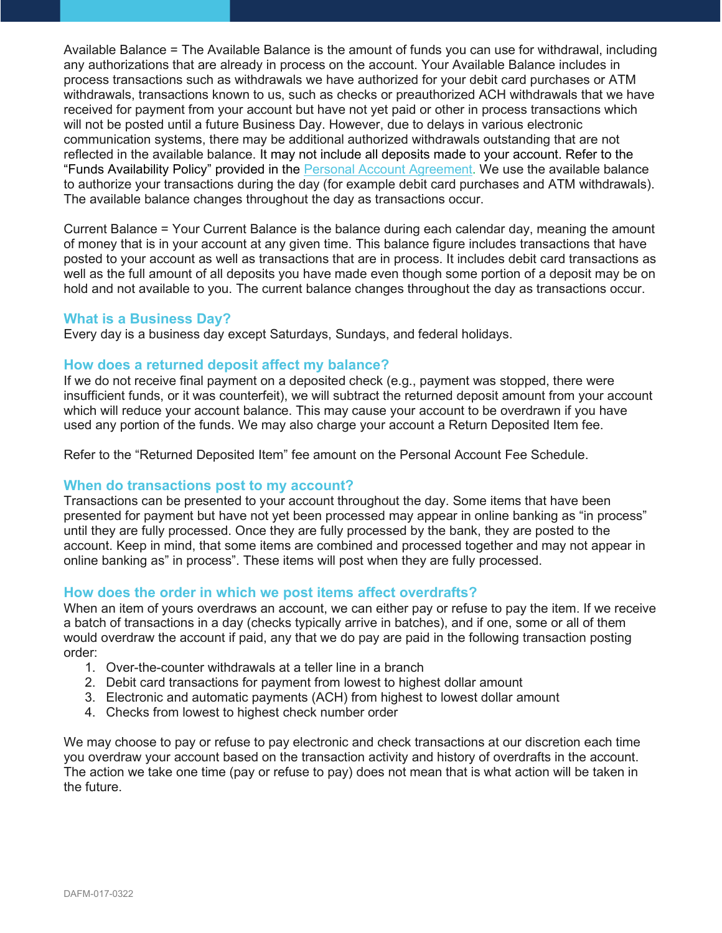Available Balance = The Available Balance is the amount of funds you can use for withdrawal, including any authorizations that are already in process on the account. Your Available Balance includes in process transactions such as withdrawals we have authorized for your debit card purchases or ATM withdrawals, transactions known to us, such as checks or preauthorized ACH withdrawals that we have received for payment from your account but have not yet paid or other in process transactions which will not be posted until a future Business Day. However, due to delays in various electronic communication systems, there may be additional authorized withdrawals outstanding that are not reflected in the available balance. It may not include all deposits made to your account. Refer to the "Funds Availability Policy" provided in the [Personal Account Agreement.](https://www.bremer.com/-/media/files-agreements/bremer-bank-personal-account-agreement.pdf?la=en&hash=CCF646517CB6D06D311A04C8EB706BBA) We use the available balance to authorize your transactions during the day (for example debit card purchases and ATM withdrawals). The available balance changes throughout the day as transactions occur.

Current Balance = Your Current Balance is the balance during each calendar day, meaning the amount of money that is in your account at any given time. This balance figure includes transactions that have posted to your account as well as transactions that are in process. It includes debit card transactions as well as the full amount of all deposits you have made even though some portion of a deposit may be on hold and not available to you. The current balance changes throughout the day as transactions occur.

#### <span id="page-1-0"></span>**What is a Business Day?**

Every day is a business day except Saturdays, Sundays, and federal holidays.

#### <span id="page-1-1"></span>**How does a returned deposit affect my balance?**

If we do not receive final payment on a deposited check (e.g., payment was stopped, there were insufficient funds, or it was counterfeit), we will subtract the returned deposit amount from your account which will reduce your account balance. This may cause your account to be overdrawn if you have used any portion of the funds. We may also charge your account a Return Deposited Item fee.

Refer to the "Returned Deposited Item" fee amount on the Personal Account Fee Schedule.

# <span id="page-1-2"></span>**When do transactions post to my account?**

Transactions can be presented to your account throughout the day. Some items that have been presented for payment but have not yet been processed may appear in online banking as "in process" until they are fully processed. Once they are fully processed by the bank, they are posted to the account. Keep in mind, that some items are combined and processed together and may not appear in online banking as" in process". These items will post when they are fully processed.

#### <span id="page-1-3"></span>**How does the order in which we post items affect overdrafts?**

When an item of yours overdraws an account, we can either pay or refuse to pay the item. If we receive a batch of transactions in a day (checks typically arrive in batches), and if one, some or all of them would overdraw the account if paid, any that we do pay are paid in the following transaction posting order:

- 1. Over-the-counter withdrawals at a teller line in a branch
- 2. Debit card transactions for payment from lowest to highest dollar amount
- 3. Electronic and automatic payments (ACH) from highest to lowest dollar amount
- 4. Checks from lowest to highest check number order

We may choose to pay or refuse to pay electronic and check transactions at our discretion each time you overdraw your account based on the transaction activity and history of overdrafts in the account. The action we take one time (pay or refuse to pay) does not mean that is what action will be taken in the future.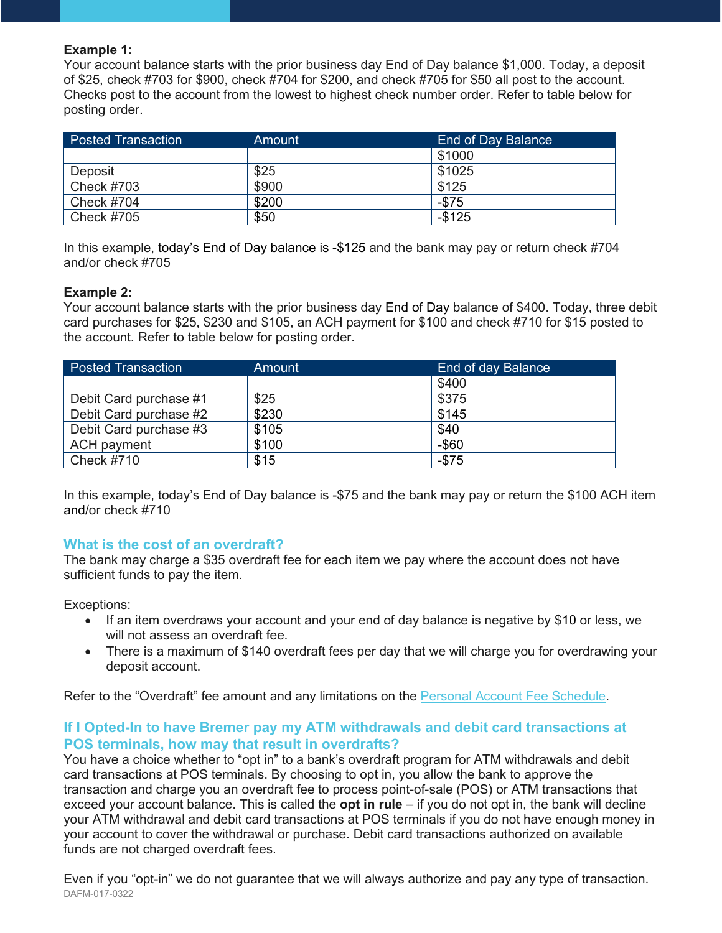#### **Example 1:**

Your account balance starts with the prior business day End of Day balance \$1,000. Today, a deposit of \$25, check #703 for \$900, check #704 for \$200, and check #705 for \$50 all post to the account. Checks post to the account from the lowest to highest check number order. Refer to table below for posting order.

| <b>Posted Transaction</b> | Amount | End of Day Balance |
|---------------------------|--------|--------------------|
|                           |        | \$1000             |
| Deposit                   | \$25   | \$1025             |
| <b>Check #703</b>         | \$900  | \$125              |
| <b>Check #704</b>         | \$200  | $-$75$             |
| <b>Check #705</b>         | \$50   | $-$125$            |

In this example, today's End of Day balance is -\$125 and the bank may pay or return check #704 and/or check #705

#### **Example 2:**

Your account balance starts with the prior business day End of Day balance of \$400. Today, three debit card purchases for \$25, \$230 and \$105, an ACH payment for \$100 and check #710 for \$15 posted to the account. Refer to table below for posting order.

| <b>Posted Transaction</b> | Amount | End of day Balance |
|---------------------------|--------|--------------------|
|                           |        | \$400              |
| Debit Card purchase #1    | \$25   | \$375              |
| Debit Card purchase #2    | \$230  | \$145              |
| Debit Card purchase #3    | \$105  | \$40               |
| <b>ACH</b> payment        | \$100  | $-$ \$60           |
| Check $#710$              | \$15   | $-$75$             |

In this example, today's End of Day balance is -\$75 and the bank may pay or return the \$100 ACH item and/or check #710

# <span id="page-2-0"></span>**What is the cost of an overdraft?**

The bank may charge a \$35 overdraft fee for each item we pay where the account does not have sufficient funds to pay the item.

Exceptions:

- If an item overdraws your account and your end of day balance is negative by \$10 or less, we will not assess an overdraft fee.
- There is a maximum of \$140 overdraft fees per day that we will charge you for overdrawing your deposit account.

Refer to the "Overdraft" fee amount and any limitations on the [Personal Account Fee Schedule.](https://www.bremer.com/-/media/files-agreements/bremer-bank-personal-fee-schedule.pdf?la=en&hash=BDB340EC66811E1DA26C396643E3E91F)

# <span id="page-2-1"></span>**If I Opted-In to have Bremer pay my ATM withdrawals and debit card transactions at POS terminals, how may that result in overdrafts?**

You have a choice whether to "opt in" to a bank's overdraft program for ATM withdrawals and debit card transactions at POS terminals. By choosing to opt in, you allow the bank to approve the transaction and charge you an overdraft fee to process point-of-sale (POS) or ATM transactions that exceed your account balance. This is called the **opt in rule** – if you do not opt in, the bank will decline your ATM withdrawal and debit card transactions at POS terminals if you do not have enough money in your account to cover the withdrawal or purchase. Debit card transactions authorized on available funds are not charged overdraft fees.

DAFM-017-0322 Even if you "opt-in" we do not guarantee that we will always authorize and pay any type of transaction.